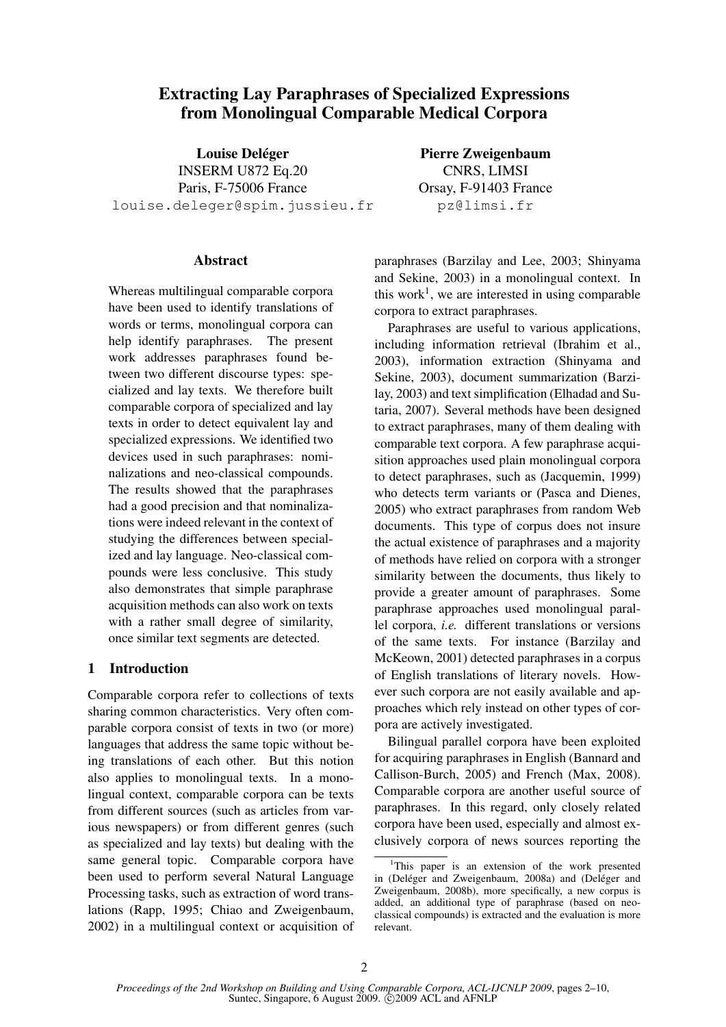# Extracting Lay Paraphrases of Specialized Expressions from Monolingual Comparable Medical Corpora

Louise Deléger INSERM U872 Eq.20 Paris, F-75006 France louise.deleger@spim.jussieu.fr

Abstract

Whereas multilingual comparable corpora have been used to identify translations of words or terms, monolingual corpora can help identify paraphrases. The present work addresses paraphrases found between two different discourse types: specialized and lay texts. We therefore built comparable corpora of specialized and lay texts in order to detect equivalent lay and specialized expressions. We identified two devices used in such paraphrases: nominalizations and neo-classical compounds. The results showed that the paraphrases had a good precision and that nominalizations were indeed relevant in the context of studying the differences between specialized and lay language. Neo-classical compounds were less conclusive. This study also demonstrates that simple paraphrase acquisition methods can also work on texts with a rather small degree of similarity, once similar text segments are detected.

# 1 Introduction

Comparable corpora refer to collections of texts sharing common characteristics. Very often comparable corpora consist of texts in two (or more) languages that address the same topic without being translations of each other. But this notion also applies to monolingual texts. In a monolingual context, comparable corpora can be texts from different sources (such as articles from various newspapers) or from different genres (such as specialized and lay texts) but dealing with the same general topic. Comparable corpora have been used to perform several Natural Language Processing tasks, such as extraction of word translations (Rapp, 1995; Chiao and Zweigenbaum, 2002) in a multilingual context or acquisition of Pierre Zweigenbaum CNRS, LIMSI Orsay, F-91403 France pz@limsi.fr

paraphrases (Barzilay and Lee, 2003; Shinyama and Sekine, 2003) in a monolingual context. In this work<sup>1</sup>, we are interested in using comparable corpora to extract paraphrases.

Paraphrases are useful to various applications, including information retrieval (Ibrahim et al., 2003), information extraction (Shinyama and Sekine, 2003), document summarization (Barzilay, 2003) and text simplification (Elhadad and Sutaria, 2007). Several methods have been designed to extract paraphrases, many of them dealing with comparable text corpora. A few paraphrase acquisition approaches used plain monolingual corpora to detect paraphrases, such as (Jacquemin, 1999) who detects term variants or (Pasca and Dienes, 2005) who extract paraphrases from random Web documents. This type of corpus does not insure the actual existence of paraphrases and a majority of methods have relied on corpora with a stronger similarity between the documents, thus likely to provide a greater amount of paraphrases. Some paraphrase approaches used monolingual parallel corpora, *i.e.* different translations or versions of the same texts. For instance (Barzilay and McKeown, 2001) detected paraphrases in a corpus of English translations of literary novels. However such corpora are not easily available and approaches which rely instead on other types of corpora are actively investigated.

Bilingual parallel corpora have been exploited for acquiring paraphrases in English (Bannard and Callison-Burch, 2005) and French (Max, 2008). Comparable corpora are another useful source of paraphrases. In this regard, only closely related corpora have been used, especially and almost exclusively corpora of news sources reporting the

<sup>&</sup>lt;sup>1</sup>This paper is an extension of the work presented in (Deléger and Zweigenbaum, 2008a) and (Deléger and Zweigenbaum, 2008b), more specifically, a new corpus is added, an additional type of paraphrase (based on neoclassical compounds) is extracted and the evaluation is more relevant.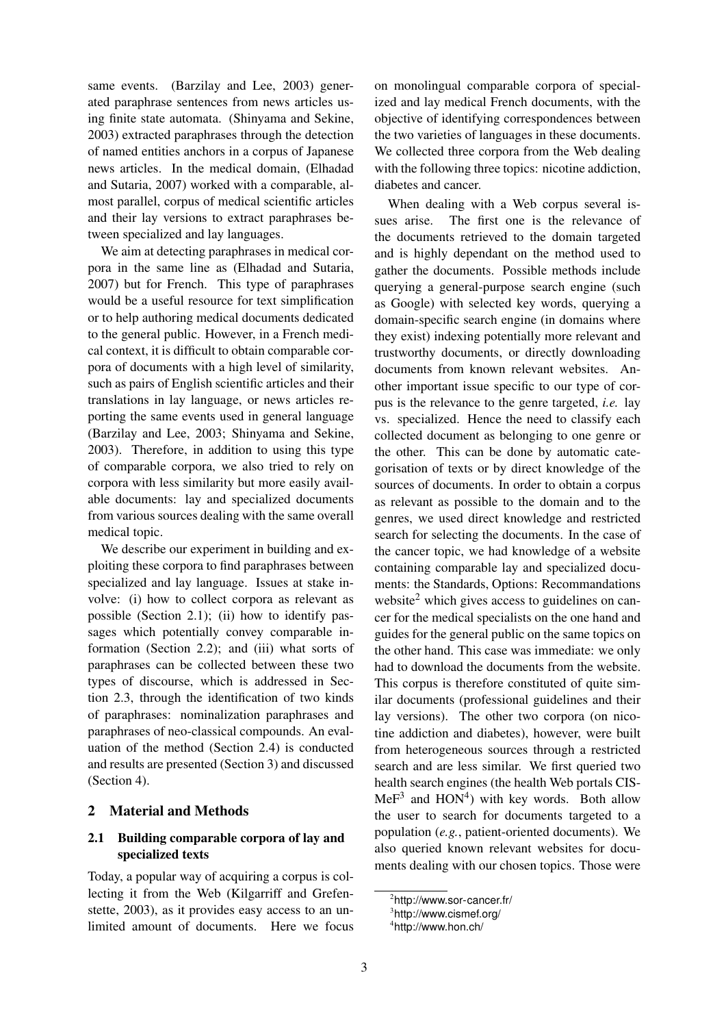same events. (Barzilay and Lee, 2003) generated paraphrase sentences from news articles using finite state automata. (Shinyama and Sekine, 2003) extracted paraphrases through the detection of named entities anchors in a corpus of Japanese news articles. In the medical domain, (Elhadad and Sutaria, 2007) worked with a comparable, almost parallel, corpus of medical scientific articles and their lay versions to extract paraphrases between specialized and lay languages.

We aim at detecting paraphrases in medical corpora in the same line as (Elhadad and Sutaria, 2007) but for French. This type of paraphrases would be a useful resource for text simplification or to help authoring medical documents dedicated to the general public. However, in a French medical context, it is difficult to obtain comparable corpora of documents with a high level of similarity, such as pairs of English scientific articles and their translations in lay language, or news articles reporting the same events used in general language (Barzilay and Lee, 2003; Shinyama and Sekine, 2003). Therefore, in addition to using this type of comparable corpora, we also tried to rely on corpora with less similarity but more easily available documents: lay and specialized documents from various sources dealing with the same overall medical topic.

We describe our experiment in building and exploiting these corpora to find paraphrases between specialized and lay language. Issues at stake involve: (i) how to collect corpora as relevant as possible (Section 2.1); (ii) how to identify passages which potentially convey comparable information (Section 2.2); and (iii) what sorts of paraphrases can be collected between these two types of discourse, which is addressed in Section 2.3, through the identification of two kinds of paraphrases: nominalization paraphrases and paraphrases of neo-classical compounds. An evaluation of the method (Section 2.4) is conducted and results are presented (Section 3) and discussed (Section 4).

# 2 Material and Methods

# 2.1 Building comparable corpora of lay and specialized texts

Today, a popular way of acquiring a corpus is collecting it from the Web (Kilgarriff and Grefenstette, 2003), as it provides easy access to an unlimited amount of documents. Here we focus on monolingual comparable corpora of specialized and lay medical French documents, with the objective of identifying correspondences between the two varieties of languages in these documents. We collected three corpora from the Web dealing with the following three topics: nicotine addiction, diabetes and cancer.

When dealing with a Web corpus several issues arise. The first one is the relevance of the documents retrieved to the domain targeted and is highly dependant on the method used to gather the documents. Possible methods include querying a general-purpose search engine (such as Google) with selected key words, querying a domain-specific search engine (in domains where they exist) indexing potentially more relevant and trustworthy documents, or directly downloading documents from known relevant websites. Another important issue specific to our type of corpus is the relevance to the genre targeted, *i.e.* lay vs. specialized. Hence the need to classify each collected document as belonging to one genre or the other. This can be done by automatic categorisation of texts or by direct knowledge of the sources of documents. In order to obtain a corpus as relevant as possible to the domain and to the genres, we used direct knowledge and restricted search for selecting the documents. In the case of the cancer topic, we had knowledge of a website containing comparable lay and specialized documents: the Standards, Options: Recommandations website<sup>2</sup> which gives access to guidelines on cancer for the medical specialists on the one hand and guides for the general public on the same topics on the other hand. This case was immediate: we only had to download the documents from the website. This corpus is therefore constituted of quite similar documents (professional guidelines and their lay versions). The other two corpora (on nicotine addiction and diabetes), however, were built from heterogeneous sources through a restricted search and are less similar. We first queried two health search engines (the health Web portals CIS- $MeF<sup>3</sup>$  and  $HON<sup>4</sup>$ ) with key words. Both allow the user to search for documents targeted to a population (*e.g.*, patient-oriented documents). We also queried known relevant websites for documents dealing with our chosen topics. Those were

<sup>2</sup> http://www.sor-cancer.fr/

<sup>3</sup> http://www.cismef.org/

<sup>4</sup> http://www.hon.ch/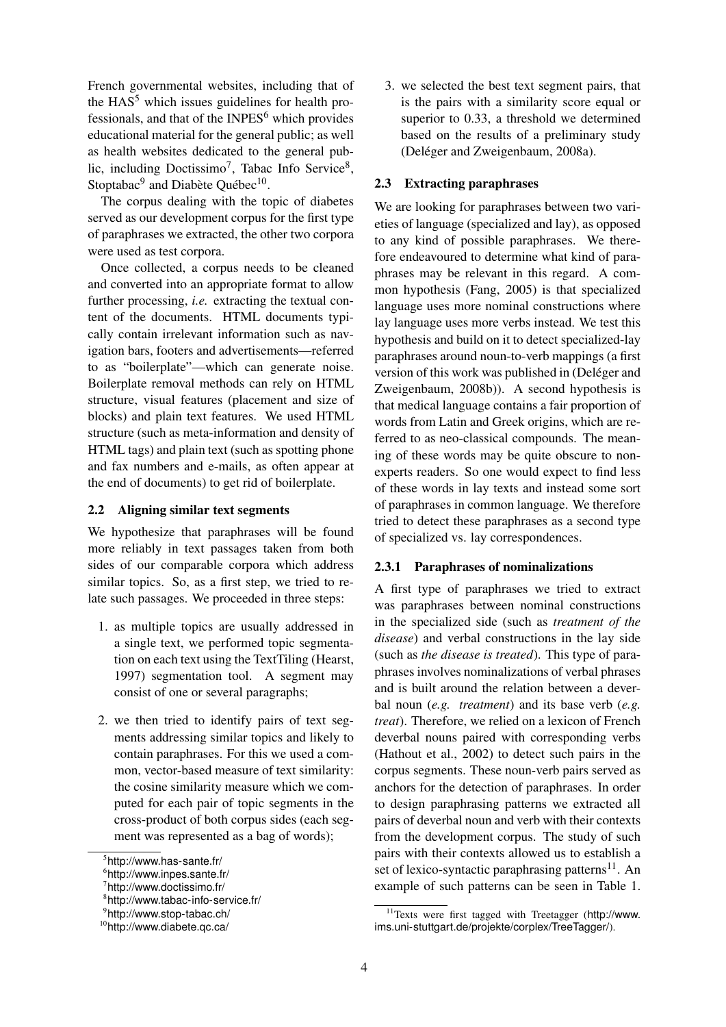French governmental websites, including that of the  $HAS<sup>5</sup>$  which issues guidelines for health professionals, and that of the  $INPES<sup>6</sup>$  which provides educational material for the general public; as well as health websites dedicated to the general public, including Doctissimo<sup>7</sup>, Tabac Info Service<sup>8</sup>, Stoptabac<sup>9</sup> and Diabète Québec<sup>10</sup>.

The corpus dealing with the topic of diabetes served as our development corpus for the first type of paraphrases we extracted, the other two corpora were used as test corpora.

Once collected, a corpus needs to be cleaned and converted into an appropriate format to allow further processing, *i.e.* extracting the textual content of the documents. HTML documents typically contain irrelevant information such as navigation bars, footers and advertisements—referred to as "boilerplate"—which can generate noise. Boilerplate removal methods can rely on HTML structure, visual features (placement and size of blocks) and plain text features. We used HTML structure (such as meta-information and density of HTML tags) and plain text (such as spotting phone and fax numbers and e-mails, as often appear at the end of documents) to get rid of boilerplate.

#### 2.2 Aligning similar text segments

We hypothesize that paraphrases will be found more reliably in text passages taken from both sides of our comparable corpora which address similar topics. So, as a first step, we tried to relate such passages. We proceeded in three steps:

- 1. as multiple topics are usually addressed in a single text, we performed topic segmentation on each text using the TextTiling (Hearst, 1997) segmentation tool. A segment may consist of one or several paragraphs;
- 2. we then tried to identify pairs of text segments addressing similar topics and likely to contain paraphrases. For this we used a common, vector-based measure of text similarity: the cosine similarity measure which we computed for each pair of topic segments in the cross-product of both corpus sides (each segment was represented as a bag of words);

3. we selected the best text segment pairs, that is the pairs with a similarity score equal or superior to 0.33, a threshold we determined based on the results of a preliminary study (Deléger and Zweigenbaum, 2008a).

# 2.3 Extracting paraphrases

We are looking for paraphrases between two varieties of language (specialized and lay), as opposed to any kind of possible paraphrases. We therefore endeavoured to determine what kind of paraphrases may be relevant in this regard. A common hypothesis (Fang, 2005) is that specialized language uses more nominal constructions where lay language uses more verbs instead. We test this hypothesis and build on it to detect specialized-lay paraphrases around noun-to-verb mappings (a first version of this work was published in (Deléger and Zweigenbaum, 2008b)). A second hypothesis is that medical language contains a fair proportion of words from Latin and Greek origins, which are referred to as neo-classical compounds. The meaning of these words may be quite obscure to nonexperts readers. So one would expect to find less of these words in lay texts and instead some sort of paraphrases in common language. We therefore tried to detect these paraphrases as a second type of specialized vs. lay correspondences.

# 2.3.1 Paraphrases of nominalizations

A first type of paraphrases we tried to extract was paraphrases between nominal constructions in the specialized side (such as *treatment of the disease*) and verbal constructions in the lay side (such as *the disease is treated*). This type of paraphrases involves nominalizations of verbal phrases and is built around the relation between a deverbal noun (*e.g. treatment*) and its base verb (*e.g. treat*). Therefore, we relied on a lexicon of French deverbal nouns paired with corresponding verbs (Hathout et al., 2002) to detect such pairs in the corpus segments. These noun-verb pairs served as anchors for the detection of paraphrases. In order to design paraphrasing patterns we extracted all pairs of deverbal noun and verb with their contexts from the development corpus. The study of such pairs with their contexts allowed us to establish a set of lexico-syntactic paraphrasing patterns<sup>11</sup>. An example of such patterns can be seen in Table 1.

<sup>5</sup> http://www.has-sante.fr/

<sup>6</sup> http://www.inpes.sante.fr/

<sup>&</sup>lt;sup>7</sup>http://www.doctissimo.fr/

<sup>8</sup> http://www.tabac-info-service.fr/

<sup>9</sup> http://www.stop-tabac.ch/

<sup>10</sup>http://www.diabete.qc.ca/

<sup>11</sup>Texts were first tagged with Treetagger (http://www. ims.uni-stuttgart.de/projekte/corplex/TreeTagger/).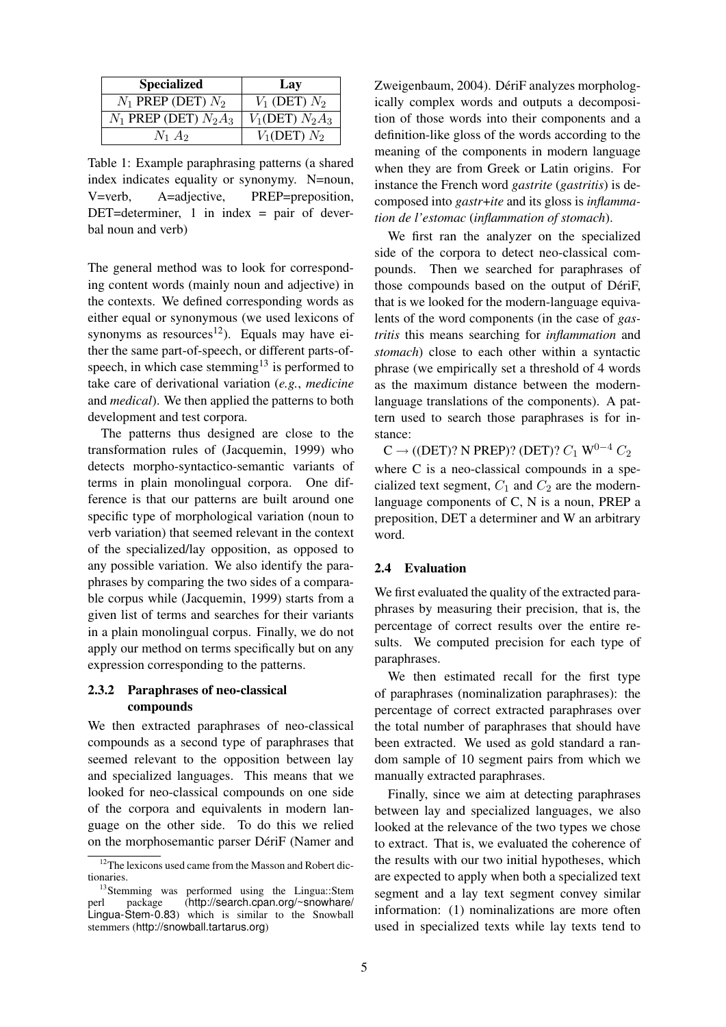| <b>Specialized</b>        | Lay               |
|---------------------------|-------------------|
| $N_1$ PREP (DET) $N_2$    | $V_1$ (DET) $N_2$ |
| $N_1$ PREP (DET) $N_2A_3$ | $V_1(DET) N_2A_3$ |
| $N_1$ $A_2$               | $V_1(DET) N_2$    |

Table 1: Example paraphrasing patterns (a shared index indicates equality or synonymy. N=noun, V=verb, A=adjective, PREP=preposition,  $DEFed$ =determiner, 1 in index = pair of deverbal noun and verb)

The general method was to look for corresponding content words (mainly noun and adjective) in the contexts. We defined corresponding words as either equal or synonymous (we used lexicons of synonyms as resources<sup>12</sup>). Equals may have either the same part-of-speech, or different parts-ofspeech, in which case stemming<sup>13</sup> is performed to take care of derivational variation (*e.g.*, *medicine* and *medical*). We then applied the patterns to both development and test corpora.

The patterns thus designed are close to the transformation rules of (Jacquemin, 1999) who detects morpho-syntactico-semantic variants of terms in plain monolingual corpora. One difference is that our patterns are built around one specific type of morphological variation (noun to verb variation) that seemed relevant in the context of the specialized/lay opposition, as opposed to any possible variation. We also identify the paraphrases by comparing the two sides of a comparable corpus while (Jacquemin, 1999) starts from a given list of terms and searches for their variants in a plain monolingual corpus. Finally, we do not apply our method on terms specifically but on any expression corresponding to the patterns.

### 2.3.2 Paraphrases of neo-classical compounds

We then extracted paraphrases of neo-classical compounds as a second type of paraphrases that seemed relevant to the opposition between lay and specialized languages. This means that we looked for neo-classical compounds on one side of the corpora and equivalents in modern language on the other side. To do this we relied on the morphosemantic parser DériF (Namer and Zweigenbaum, 2004). DériF analyzes morphologically complex words and outputs a decomposition of those words into their components and a definition-like gloss of the words according to the meaning of the components in modern language when they are from Greek or Latin origins. For instance the French word *gastrite* (*gastritis*) is decomposed into *gastr*+*ite* and its gloss is *inflammation de l'estomac* (*inflammation of stomach*).

We first ran the analyzer on the specialized side of the corpora to detect neo-classical compounds. Then we searched for paraphrases of those compounds based on the output of DériF, that is we looked for the modern-language equivalents of the word components (in the case of *gastritis* this means searching for *inflammation* and *stomach*) close to each other within a syntactic phrase (we empirically set a threshold of 4 words as the maximum distance between the modernlanguage translations of the components). A pattern used to search those paraphrases is for instance:

 $C \rightarrow ($ (DET)? N PREP)? (DET)?  $C_1$  W<sup>0-4</sup>  $C_2$ where C is a neo-classical compounds in a specialized text segment,  $C_1$  and  $C_2$  are the modernlanguage components of C, N is a noun, PREP a preposition, DET a determiner and W an arbitrary word.

# 2.4 Evaluation

We first evaluated the quality of the extracted paraphrases by measuring their precision, that is, the percentage of correct results over the entire results. We computed precision for each type of paraphrases.

We then estimated recall for the first type of paraphrases (nominalization paraphrases): the percentage of correct extracted paraphrases over the total number of paraphrases that should have been extracted. We used as gold standard a random sample of 10 segment pairs from which we manually extracted paraphrases.

Finally, since we aim at detecting paraphrases between lay and specialized languages, we also looked at the relevance of the two types we chose to extract. That is, we evaluated the coherence of the results with our two initial hypotheses, which are expected to apply when both a specialized text segment and a lay text segment convey similar information: (1) nominalizations are more often used in specialized texts while lay texts tend to

<sup>&</sup>lt;sup>12</sup>The lexicons used came from the Masson and Robert dictionaries.

<sup>&</sup>lt;sup>13</sup>Stemming was performed using the Lingua::Stem perl package (http://search.cpan.org/~snowhare/ Lingua-Stem-0.83) which is similar to the Snowball stemmers (http://snowball.tartarus.org)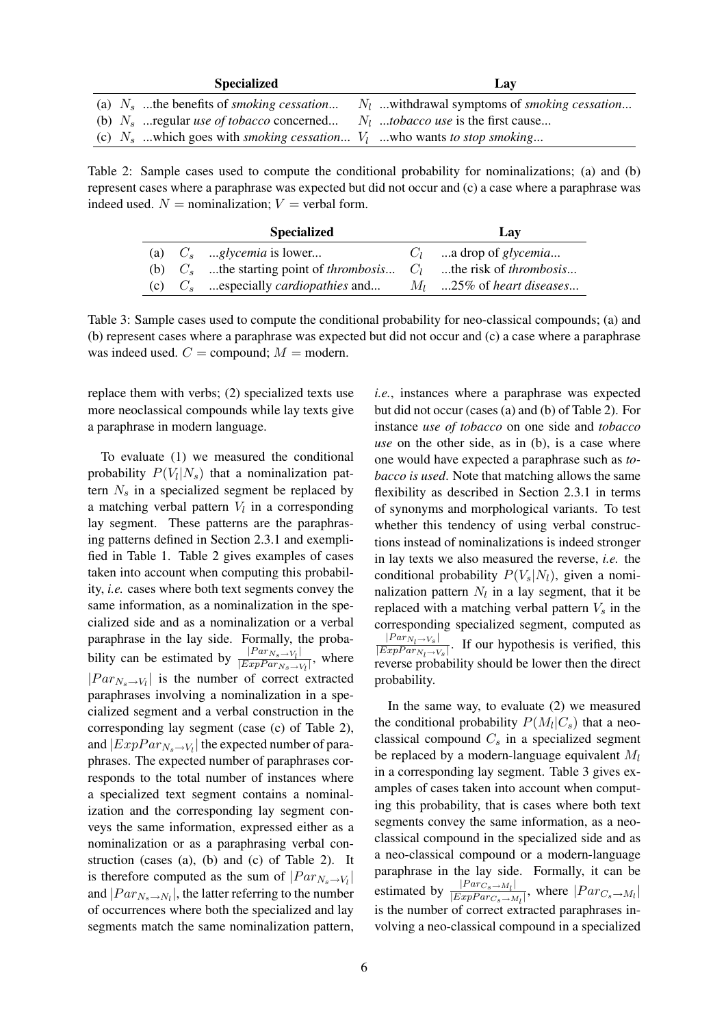| <b>Specialized</b>                                                                        | Lav                                                   |
|-------------------------------------------------------------------------------------------|-------------------------------------------------------|
| (a) $N_s$ the benefits of <i>smoking cessation</i>                                        | $N_l$ withdrawal symptoms of <i>smoking cessation</i> |
| (b) $N_s$ regular <i>use of tobacco</i> concerned                                         | $N_l$ tobacco use is the first cause                  |
| (c) $N_s$ which goes with <i>smoking cessation</i> $V_1$ who wants to stop <i>smoking</i> |                                                       |

Table 2: Sample cases used to compute the conditional probability for nominalizations; (a) and (b) represent cases where a paraphrase was expected but did not occur and (c) a case where a paraphrase was indeed used.  $N =$  nominalization;  $V =$  verbal form.

|  | <b>Specialized</b>                                                                    | Lay                         |
|--|---------------------------------------------------------------------------------------|-----------------------------|
|  | (a) $C_s$ glycemia is lower                                                           | $C_l$ a drop of glycemia    |
|  | (b) $C_s$ the starting point of <i>thrombosis</i> $C_l$ the risk of <i>thrombosis</i> |                             |
|  | (c) $C_s$ especially <i>cardiopathies</i> and                                         | $M_l$ 25% of heart diseases |

Table 3: Sample cases used to compute the conditional probability for neo-classical compounds; (a) and (b) represent cases where a paraphrase was expected but did not occur and (c) a case where a paraphrase was indeed used.  $C =$  compound;  $M =$  modern.

replace them with verbs; (2) specialized texts use more neoclassical compounds while lay texts give a paraphrase in modern language.

To evaluate (1) we measured the conditional probability  $P(V_l|N_s)$  that a nominalization pattern  $N_s$  in a specialized segment be replaced by a matching verbal pattern  $V_l$  in a corresponding lay segment. These patterns are the paraphrasing patterns defined in Section 2.3.1 and exemplified in Table 1. Table 2 gives examples of cases taken into account when computing this probability, *i.e.* cases where both text segments convey the same information, as a nominalization in the specialized side and as a nominalization or a verbal paraphrase in the lay side. Formally, the probability can be estimated by  $\frac{|Par_{N_s}\rightarrow V_l|}{|Err_{N_s}\rightarrow V_l|}$  $\frac{|F^{un} N_s \rightarrow V_l|}{|ExpPar_{N_s \rightarrow V_l}|}$ , where  $|Par_{N_s\rightarrow V_l}|$  is the number of correct extracted paraphrases involving a nominalization in a specialized segment and a verbal construction in the corresponding lay segment (case (c) of Table 2), and  $|ExpPar_{N_s\rightarrow V_l}|$  the expected number of paraphrases. The expected number of paraphrases corresponds to the total number of instances where a specialized text segment contains a nominalization and the corresponding lay segment conveys the same information, expressed either as a nominalization or as a paraphrasing verbal construction (cases (a), (b) and (c) of Table 2). It is therefore computed as the sum of  $|Par_{N_s\rightarrow V_l}|$ and  $|Par_{N_s \to N_l}|$ , the latter referring to the number of occurrences where both the specialized and lay segments match the same nominalization pattern,

*i.e.*, instances where a paraphrase was expected but did not occur (cases (a) and (b) of Table 2). For instance *use of tobacco* on one side and *tobacco use* on the other side, as in (b), is a case where one would have expected a paraphrase such as *tobacco is used*. Note that matching allows the same flexibility as described in Section 2.3.1 in terms of synonyms and morphological variants. To test whether this tendency of using verbal constructions instead of nominalizations is indeed stronger in lay texts we also measured the reverse, *i.e.* the conditional probability  $P(V_s|N_l)$ , given a nominalization pattern  $N_l$  in a lay segment, that it be replaced with a matching verbal pattern  $V_s$  in the corresponding specialized segment, computed as  $|Par_{N_l\rightarrow V_s}|$  $\frac{|F_{\alpha r}^{i} N_l \rightarrow V_s|}{|ExpPar_{N_l \rightarrow V_s}|}$ . If our hypothesis is verified, this reverse probability should be lower then the direct probability.

In the same way, to evaluate (2) we measured the conditional probability  $P(M_l|C_s)$  that a neoclassical compound  $C_s$  in a specialized segment be replaced by a modern-language equivalent  $M_l$ in a corresponding lay segment. Table 3 gives examples of cases taken into account when computing this probability, that is cases where both text segments convey the same information, as a neoclassical compound in the specialized side and as a neo-classical compound or a modern-language paraphrase in the lay side. Formally, it can be estimated by  $\frac{|Par_{C_s \to M_l}|}{|Exp_{C_s \to M_l}|}$  $\frac{|T^{a}T^{c}s \rightarrow M_{l}|}{|ExpPar_{C_s} \rightarrow M_{l}|}$ , where  $|Par_{C_s} \rightarrow M_{l}|$ is the number of correct extracted paraphrases involving a neo-classical compound in a specialized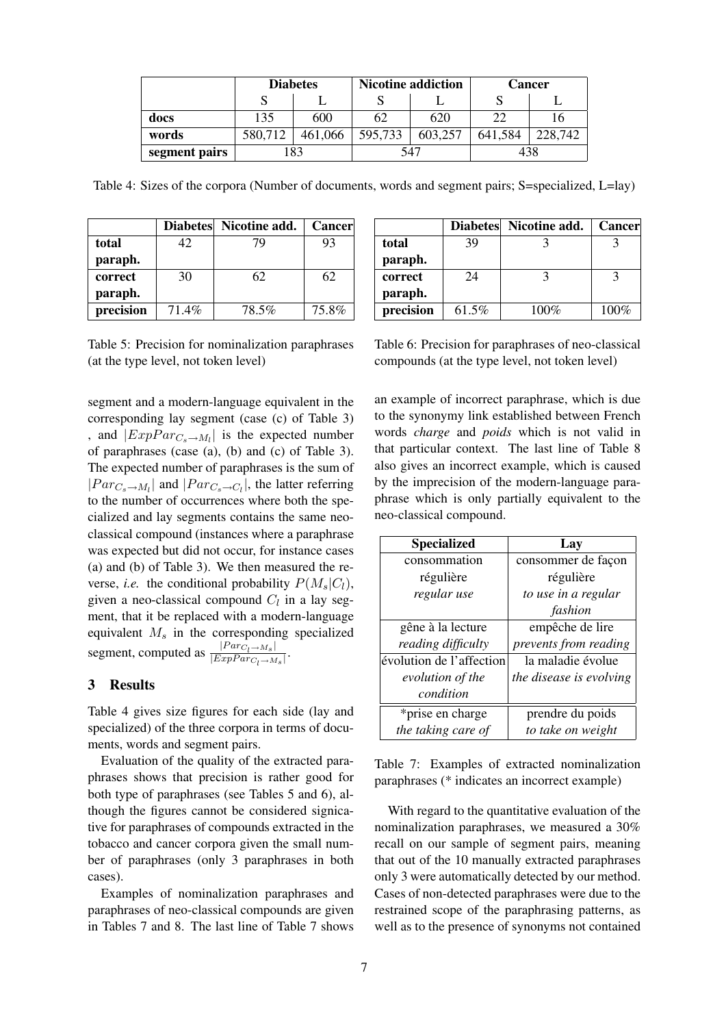|               | <b>Diabetes</b> |           |         | <b>Nicotine addiction</b> | <b>Cancer</b> |         |  |
|---------------|-----------------|-----------|---------|---------------------------|---------------|---------|--|
|               |                 |           |         |                           |               |         |  |
| docs          | 135             | 600       | 62      | 620                       | 22            |         |  |
| words         | 580,712         | 461,066   | 595,733 | 603,257                   | 641,584       | 228,742 |  |
| segment pairs |                 | 83<br>547 |         |                           |               | 438     |  |

Table 4: Sizes of the corpora (Number of documents, words and segment pairs; S=specialized, L=lay)

|           |       | Diabetes Nicotine add. | <b>Cancer</b> |
|-----------|-------|------------------------|---------------|
| total     | 42.   | 79                     | 93            |
| paraph.   |       |                        |               |
| correct   | 30    | 62                     | 62            |
| paraph.   |       |                        |               |
| precision | 71.4% | 78.5%                  | 75.8%         |

Table 5: Precision for nominalization paraphrases (at the type level, not token level)

segment and a modern-language equivalent in the corresponding lay segment (case (c) of Table 3) , and  $|ExpPar_{C_s \to M_l}|$  is the expected number of paraphrases (case (a), (b) and (c) of Table 3). The expected number of paraphrases is the sum of  $|Par_{C_s \to M_l}|$  and  $|Par_{C_s \to C_l}|$ , the latter referring to the number of occurrences where both the specialized and lay segments contains the same neoclassical compound (instances where a paraphrase was expected but did not occur, for instance cases (a) and (b) of Table 3). We then measured the reverse, *i.e.* the conditional probability  $P(M_s|C_l)$ , given a neo-classical compound  $C_l$  in a lay segment, that it be replaced with a modern-language equivalent  $M_s$  in the corresponding specialized segment, computed as  $\frac{|Par_{C_l \rightarrow M_s}|}{|Exp_{C_l \rightarrow M_s}|}$  $\frac{|I^{a}C_{l}\rightarrow M_{s}|}{|ExpPar_{C_{l}\rightarrow M_{s}}|}.$ 

# 3 Results

Table 4 gives size figures for each side (lay and specialized) of the three corpora in terms of documents, words and segment pairs.

Evaluation of the quality of the extracted paraphrases shows that precision is rather good for both type of paraphrases (see Tables 5 and 6), although the figures cannot be considered signicative for paraphrases of compounds extracted in the tobacco and cancer corpora given the small number of paraphrases (only 3 paraphrases in both cases).

Examples of nominalization paraphrases and paraphrases of neo-classical compounds are given in Tables 7 and 8. The last line of Table 7 shows

|           |       | Diabetes Nicotine add. | <b>Cancer</b> |
|-----------|-------|------------------------|---------------|
| total     | 39    |                        |               |
| paraph.   |       |                        |               |
| correct   | 24    |                        |               |
| paraph.   |       |                        |               |
| precision | 61.5% | 100%                   | 100%          |

Table 6: Precision for paraphrases of neo-classical compounds (at the type level, not token level)

an example of incorrect paraphrase, which is due to the synonymy link established between French words *charge* and *poids* which is not valid in that particular context. The last line of Table 8 also gives an incorrect example, which is caused by the imprecision of the modern-language paraphrase which is only partially equivalent to the neo-classical compound.

| <b>Specialized</b>       | Lav                     |
|--------------------------|-------------------------|
| consommation             | consommer de façon      |
| régulière                | régulière               |
| regular use              | to use in a regular     |
|                          | fashion                 |
| gêne à la lecture        | empêche de lire         |
| reading difficulty       | prevents from reading   |
| évolution de l'affection | la maladie évolue       |
| evolution of the         | the disease is evolving |
| condition                |                         |
| *prise en charge         | prendre du poids        |
| the taking care of       | to take on weight       |

Table 7: Examples of extracted nominalization paraphrases (\* indicates an incorrect example)

With regard to the quantitative evaluation of the nominalization paraphrases, we measured a 30% recall on our sample of segment pairs, meaning that out of the 10 manually extracted paraphrases only 3 were automatically detected by our method. Cases of non-detected paraphrases were due to the restrained scope of the paraphrasing patterns, as well as to the presence of synonyms not contained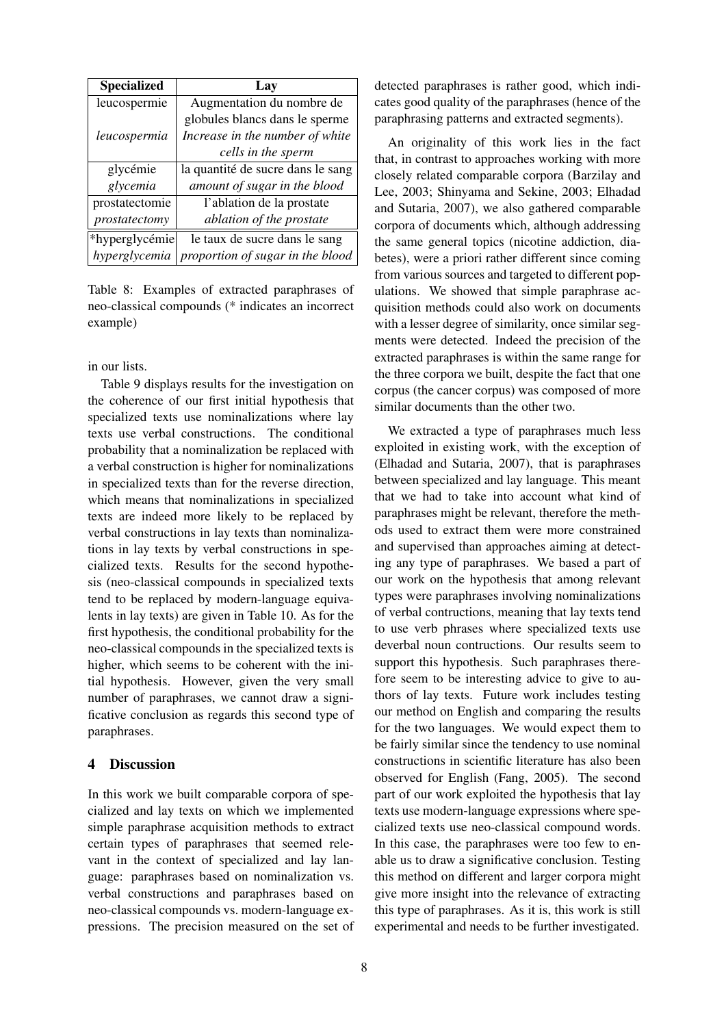| <b>Specialized</b> | Lay                               |
|--------------------|-----------------------------------|
| leucospermie       | Augmentation du nombre de         |
|                    | globules blancs dans le sperme    |
| leucospermia       | Increase in the number of white   |
|                    | cells in the sperm                |
| glycémie           | la quantité de sucre dans le sang |
| glycemia           | amount of sugar in the blood      |
| prostatectomie     | l'ablation de la prostate         |
| prostatectomy      | ablation of the prostate          |
| *hyperglycémie     | le taux de sucre dans le sang     |
| hyperglycemia      | proportion of sugar in the blood  |

Table 8: Examples of extracted paraphrases of neo-classical compounds (\* indicates an incorrect example)

in our lists.

Table 9 displays results for the investigation on the coherence of our first initial hypothesis that specialized texts use nominalizations where lay texts use verbal constructions. The conditional probability that a nominalization be replaced with a verbal construction is higher for nominalizations in specialized texts than for the reverse direction, which means that nominalizations in specialized texts are indeed more likely to be replaced by verbal constructions in lay texts than nominalizations in lay texts by verbal constructions in specialized texts. Results for the second hypothesis (neo-classical compounds in specialized texts tend to be replaced by modern-language equivalents in lay texts) are given in Table 10. As for the first hypothesis, the conditional probability for the neo-classical compounds in the specialized texts is higher, which seems to be coherent with the initial hypothesis. However, given the very small number of paraphrases, we cannot draw a significative conclusion as regards this second type of paraphrases.

# 4 Discussion

In this work we built comparable corpora of specialized and lay texts on which we implemented simple paraphrase acquisition methods to extract certain types of paraphrases that seemed relevant in the context of specialized and lay language: paraphrases based on nominalization vs. verbal constructions and paraphrases based on neo-classical compounds vs. modern-language expressions. The precision measured on the set of detected paraphrases is rather good, which indicates good quality of the paraphrases (hence of the paraphrasing patterns and extracted segments).

An originality of this work lies in the fact that, in contrast to approaches working with more closely related comparable corpora (Barzilay and Lee, 2003; Shinyama and Sekine, 2003; Elhadad and Sutaria, 2007), we also gathered comparable corpora of documents which, although addressing the same general topics (nicotine addiction, diabetes), were a priori rather different since coming from various sources and targeted to different populations. We showed that simple paraphrase acquisition methods could also work on documents with a lesser degree of similarity, once similar segments were detected. Indeed the precision of the extracted paraphrases is within the same range for the three corpora we built, despite the fact that one corpus (the cancer corpus) was composed of more similar documents than the other two.

We extracted a type of paraphrases much less exploited in existing work, with the exception of (Elhadad and Sutaria, 2007), that is paraphrases between specialized and lay language. This meant that we had to take into account what kind of paraphrases might be relevant, therefore the methods used to extract them were more constrained and supervised than approaches aiming at detecting any type of paraphrases. We based a part of our work on the hypothesis that among relevant types were paraphrases involving nominalizations of verbal contructions, meaning that lay texts tend to use verb phrases where specialized texts use deverbal noun contructions. Our results seem to support this hypothesis. Such paraphrases therefore seem to be interesting advice to give to authors of lay texts. Future work includes testing our method on English and comparing the results for the two languages. We would expect them to be fairly similar since the tendency to use nominal constructions in scientific literature has also been observed for English (Fang, 2005). The second part of our work exploited the hypothesis that lay texts use modern-language expressions where specialized texts use neo-classical compound words. In this case, the paraphrases were too few to enable us to draw a significative conclusion. Testing this method on different and larger corpora might give more insight into the relevance of extracting this type of paraphrases. As it is, this work is still experimental and needs to be further investigated.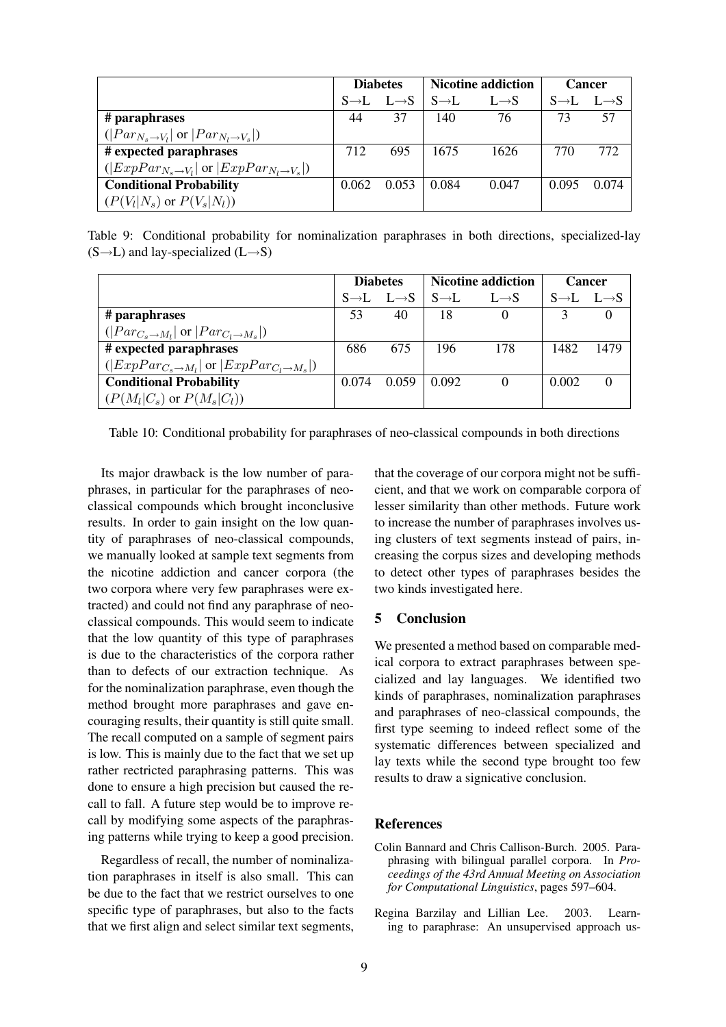|                                                                      | <b>Diabetes</b> |                                     | <b>Nicotine addiction</b> |                   | <b>Cancer</b> |                                     |
|----------------------------------------------------------------------|-----------------|-------------------------------------|---------------------------|-------------------|---------------|-------------------------------------|
|                                                                      |                 | $S \rightarrow L$ $L \rightarrow S$ | $S \rightarrow L$         | $L \rightarrow S$ |               | $S \rightarrow L$ $L \rightarrow S$ |
| # paraphrases                                                        | 44              | 37                                  | 140                       | 76                | 73            | 57                                  |
| $( Par_{N_s\rightarrow V_l} $ or $ Par_{N_l\rightarrow V_s} )$       |                 |                                     |                           |                   |               |                                     |
| # expected paraphrases                                               | 712             | 695                                 | 1675                      | 1626              | 770           | 772                                 |
| $( ExpPar_{N_s\rightarrow V_l} $ or $ ExpPar_{N_l\rightarrow V_s} )$ |                 |                                     |                           |                   |               |                                     |
| <b>Conditional Probability</b>                                       | 0.062           | 0.053                               | 0.084                     | 0.047             | 0.095         | 0.074                               |
| $(P(V_l N_s)$ or $P(V_s N_l))$                                       |                 |                                     |                           |                   |               |                                     |

Table 9: Conditional probability for nominalization paraphrases in both directions, specialized-lay  $(S \rightarrow L)$  and lay-specialized  $(L \rightarrow S)$ 

|                                                                        | <b>Diabetes</b> |                                     | <b>Nicotine addiction</b> |                   | <b>Cancer</b>                       |      |
|------------------------------------------------------------------------|-----------------|-------------------------------------|---------------------------|-------------------|-------------------------------------|------|
|                                                                        |                 | $S \rightarrow L$ $L \rightarrow S$ | $S \rightarrow L$         | $L \rightarrow S$ | $S \rightarrow L$ $L \rightarrow S$ |      |
| # paraphrases                                                          | 53              | 40                                  | 18                        | $\theta$          |                                     |      |
| $( Par_{C_s \rightarrow M_l} $ or $ Par_{C_l \rightarrow M_s} )$       |                 |                                     |                           |                   |                                     |      |
| # expected paraphrases                                                 | 686             | 675                                 | 196                       | 178               | 1482                                | 1479 |
| $( ExpPar_{C_s \rightarrow M_l} $ or $ ExpPar_{C_l \rightarrow M_s} )$ |                 |                                     |                           |                   |                                     |      |
| <b>Conditional Probability</b>                                         | 0.074           | 0.059                               | 0.092                     |                   | 0.002                               |      |
| $(P(M_l C_s)$ or $P(M_s C_l))$                                         |                 |                                     |                           |                   |                                     |      |

Table 10: Conditional probability for paraphrases of neo-classical compounds in both directions

Its major drawback is the low number of paraphrases, in particular for the paraphrases of neoclassical compounds which brought inconclusive results. In order to gain insight on the low quantity of paraphrases of neo-classical compounds, we manually looked at sample text segments from the nicotine addiction and cancer corpora (the two corpora where very few paraphrases were extracted) and could not find any paraphrase of neoclassical compounds. This would seem to indicate that the low quantity of this type of paraphrases is due to the characteristics of the corpora rather than to defects of our extraction technique. As for the nominalization paraphrase, even though the method brought more paraphrases and gave encouraging results, their quantity is still quite small. The recall computed on a sample of segment pairs is low. This is mainly due to the fact that we set up rather rectricted paraphrasing patterns. This was done to ensure a high precision but caused the recall to fall. A future step would be to improve recall by modifying some aspects of the paraphrasing patterns while trying to keep a good precision.

Regardless of recall, the number of nominalization paraphrases in itself is also small. This can be due to the fact that we restrict ourselves to one specific type of paraphrases, but also to the facts that we first align and select similar text segments,

that the coverage of our corpora might not be sufficient, and that we work on comparable corpora of lesser similarity than other methods. Future work to increase the number of paraphrases involves using clusters of text segments instead of pairs, increasing the corpus sizes and developing methods to detect other types of paraphrases besides the two kinds investigated here.

#### 5 Conclusion

We presented a method based on comparable medical corpora to extract paraphrases between specialized and lay languages. We identified two kinds of paraphrases, nominalization paraphrases and paraphrases of neo-classical compounds, the first type seeming to indeed reflect some of the systematic differences between specialized and lay texts while the second type brought too few results to draw a signicative conclusion.

# References

- Colin Bannard and Chris Callison-Burch. 2005. Paraphrasing with bilingual parallel corpora. In *Proceedings of the 43rd Annual Meeting on Association for Computational Linguistics*, pages 597–604.
- Regina Barzilay and Lillian Lee. 2003. Learning to paraphrase: An unsupervised approach us-